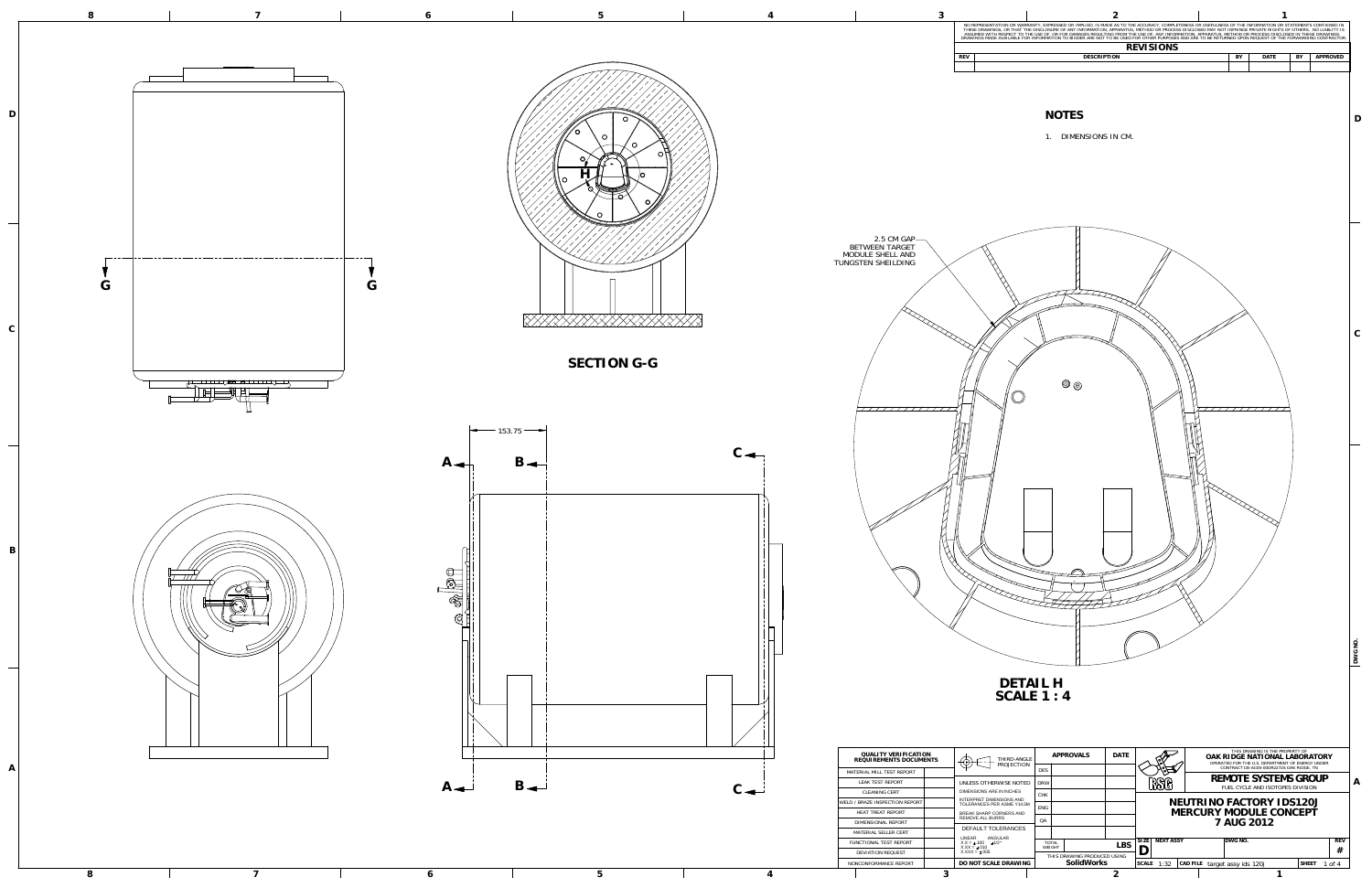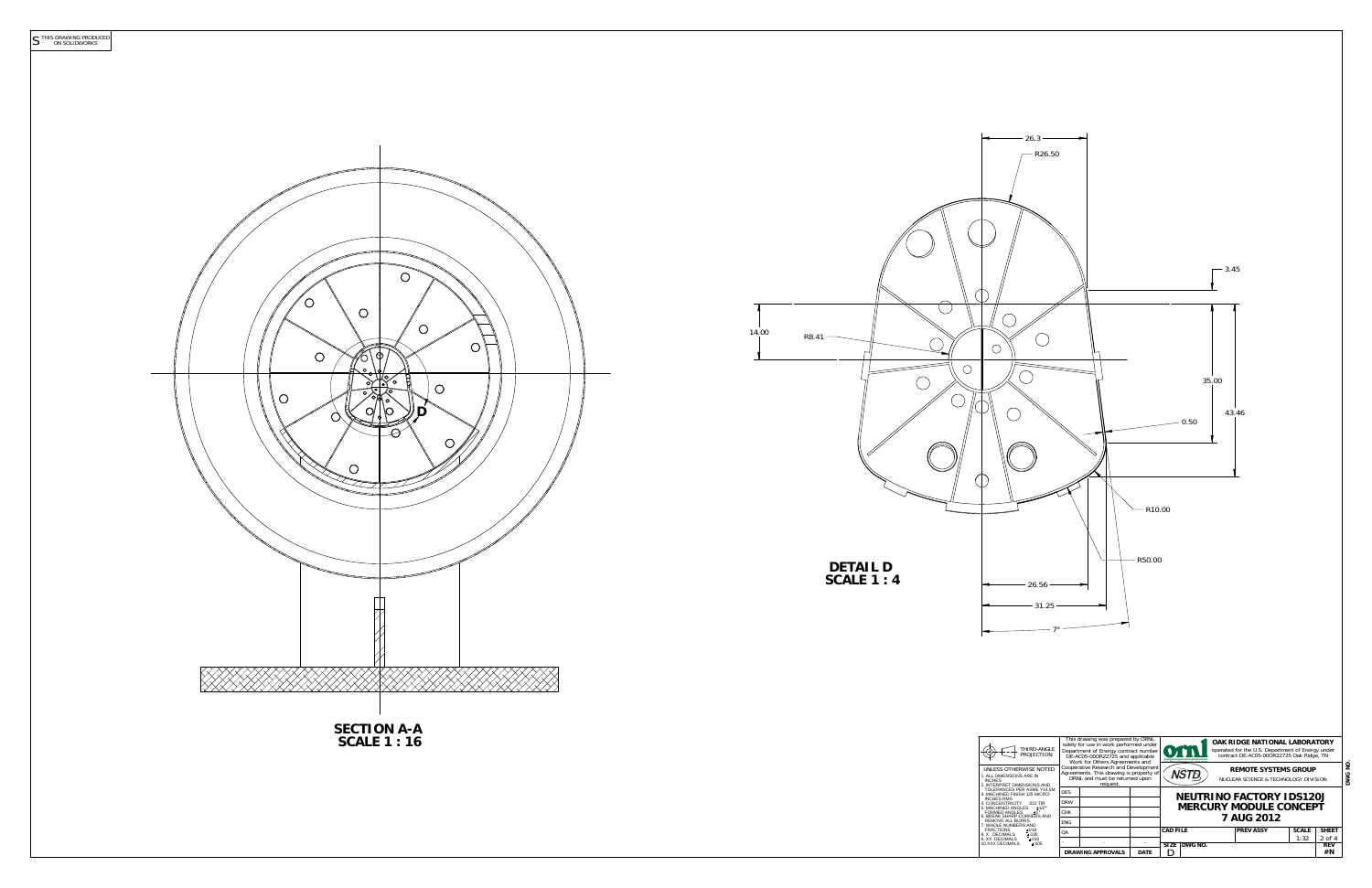

| 26.56<br>31.25                                                                                                                                                                                                                                                                                                                                                                                                                                                                                                                                                                   |                                                                                                                                                                                                                                                                                                                                                        | R10.00<br>R50.00 |                                                                                      |                                                                                                                                                                                                                                                                                                                    |                      |                                                |                      |
|----------------------------------------------------------------------------------------------------------------------------------------------------------------------------------------------------------------------------------------------------------------------------------------------------------------------------------------------------------------------------------------------------------------------------------------------------------------------------------------------------------------------------------------------------------------------------------|--------------------------------------------------------------------------------------------------------------------------------------------------------------------------------------------------------------------------------------------------------------------------------------------------------------------------------------------------------|------------------|--------------------------------------------------------------------------------------|--------------------------------------------------------------------------------------------------------------------------------------------------------------------------------------------------------------------------------------------------------------------------------------------------------------------|----------------------|------------------------------------------------|----------------------|
| THIRD-ANGLE<br><b>PROJECTION</b><br>UNLESS OTHERWISE NOTED<br>1. ALL DIMENSIONS ARE IN<br><b>INCHES</b><br>2. INTERPRET DIMENSIONS AND<br>TOLERANCES PER ASME Y14.5M<br>3. MACHINED FINISH 125 MICRO-<br><b>DES</b><br><b>INCHES RMS</b><br><b>DRW</b><br>4. CONCENTRICITY .010 TIR<br>5. MACHINED ANGLES<br>$±1/2$ $^{\circ}$<br><b>CHK</b><br>FORMED ANGLES<br>±1°<br>6. BREAK SHARP CORNERS AND<br>REMOVE ALL BURRS<br><b>ENG</b><br>7. WHOLE NUMBERS AND<br><b>FRACTIONS</b><br>±1/16<br>QA<br>8. X DECIMALS<br>±.030<br>9. XX DECIMALS<br>±.010<br>10.XXX DECIMALS<br>±.005 | This drawing was prepared by ORNL<br>solely for use in work performed under<br>Department of Energy contract number<br>DE-AC05-00OR22725 and applicable<br>Work for Others Agreements and<br>Cooperative Research and Development<br>Agreements. This drawing is property of<br>ORNL and must be returned upon<br>request.<br><b>DRAWING APPROVALS</b> | <b>DATE</b>      | OAK RIDGE NATIONAL LABORATORY<br><b>NSTB</b><br><b>CAD FILE</b><br>SIZE DWG NO.<br>D | OAK RIDGE NATIONAL LABORATORY<br>operated for the U.S. Department of Energy under<br>contract DE-AC05-00OR22725 Oak Ridge, TN<br><b>REMOTE SYSTEMS GROUP</b><br>NUCLEAR SCIENCE & TECHNOLOGY DIVISION<br><b>NEUTRINO FACTORY IDS120J</b><br><b>MERCURY MODULE CONCEPT</b><br><b>7 AUG 2012</b><br><b>PREV ASSY</b> | <b>SCALE</b><br>1:32 | <b>SHEET</b><br>$2$ of $4$<br><b>REV</b><br>#N | O<br>Z<br><b>DWG</b> |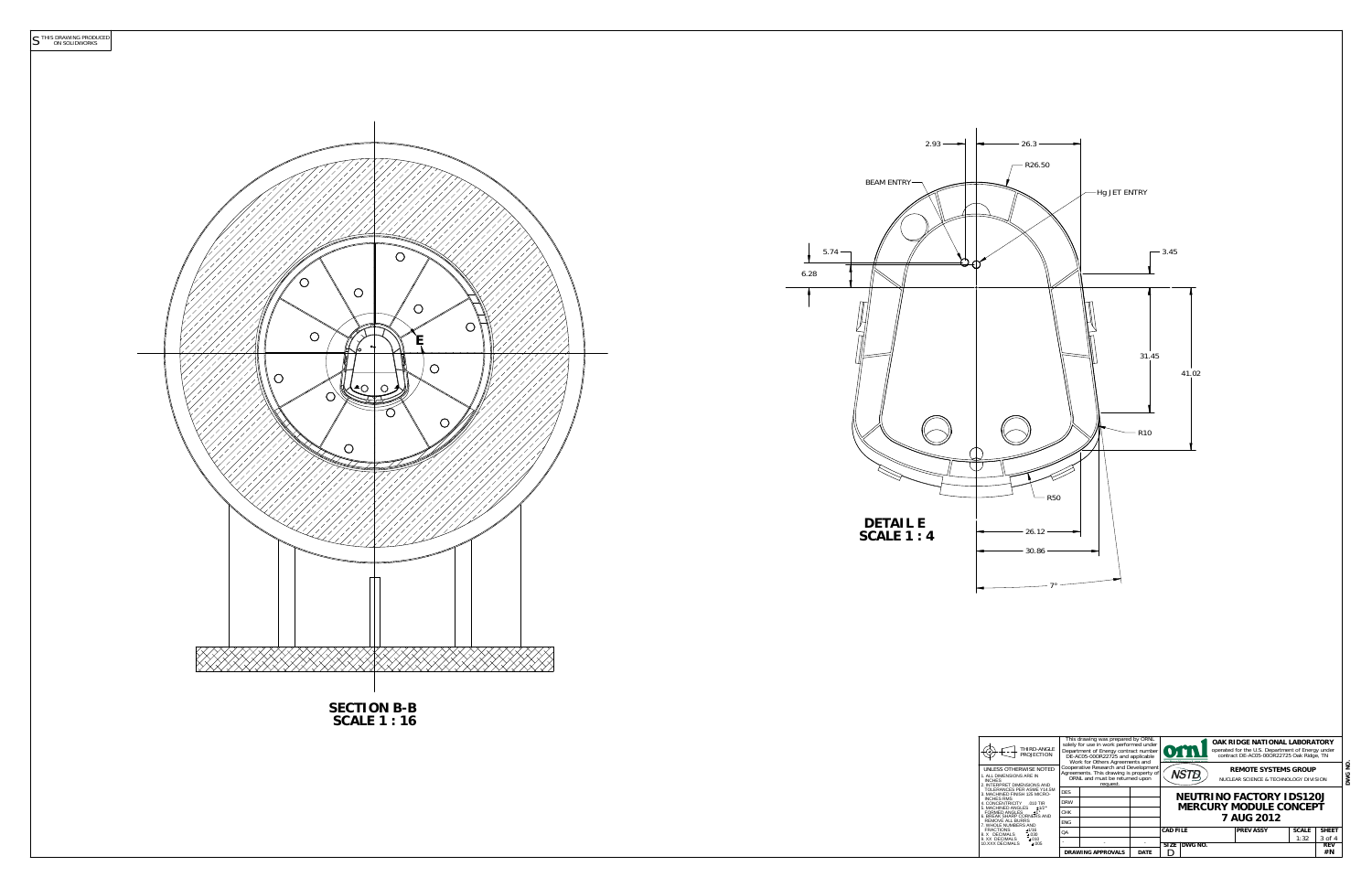**DWG NO.**



| THIRD-ANGLE<br><b>PROJECTION</b>                                                                   | This drawing was prepared by ORNL<br>solely for use in work performed under<br>Department of Energy contract number<br>DE-AC05-00OR22725 and applicable<br>Work for Others Agreements and |  |  |                                                    | <b>OTTV</b><br><b>OAK RIDGE NATIONAL LABORATORY</b> | OAK RIDGE NATIONAL LABORATORY<br>operated for the U.S. Department of Energy under<br>contract DE-AC05-00OR22725 Oak Ridge, TN |                                                                      |              |              |  |
|----------------------------------------------------------------------------------------------------|-------------------------------------------------------------------------------------------------------------------------------------------------------------------------------------------|--|--|----------------------------------------------------|-----------------------------------------------------|-------------------------------------------------------------------------------------------------------------------------------|----------------------------------------------------------------------|--------------|--------------|--|
| UNLESS OTHERWISE NOTED<br>1. ALL DIMENSIONS ARE IN<br><b>INCHES</b><br>2. INTERPRET DIMENSIONS AND | Cooperative Research and Development<br>Agreements. This drawing is property of<br>ORNL and must be returned upon<br>request.                                                             |  |  |                                                    | <b>NST1-</b>                                        |                                                                                                                               | <b>REMOTE SYSTEMS GROUP</b><br>NUCLEAR SCIENCE & TECHNOLOGY DIVISION |              |              |  |
| TOLERANCES PER ASME Y14.5M<br>3. MACHINED FINISH 125 MICRO-<br><b>INCHES RMS</b>                   | <b>DES</b>                                                                                                                                                                                |  |  |                                                    |                                                     |                                                                                                                               | <b>NEUTRINO FACTORY IDS120J</b>                                      |              |              |  |
| 4. CONCENTRICITY<br>.010 TIR                                                                       | <b>DRW</b>                                                                                                                                                                                |  |  | <b>MERCURY MODULE CONCEPT</b><br><b>7 AUG 2012</b> |                                                     |                                                                                                                               |                                                                      |              |              |  |
| 5. MACHINED ANGLES<br>$±1/2$ °<br>±1°<br><b>FORMED ANGLES</b><br>6. BREAK SHARP CORNERS AND        | <b>CHK</b>                                                                                                                                                                                |  |  |                                                    |                                                     |                                                                                                                               |                                                                      |              |              |  |
| <b>REMOVE ALL BURRS</b>                                                                            | <b>ENG</b>                                                                                                                                                                                |  |  |                                                    |                                                     |                                                                                                                               |                                                                      |              |              |  |
| 7. WHOLE NUMBERS AND<br><b>FRACTIONS</b><br>$+1/16$<br>8. X DECIMALS<br>±.030                      | <b>OA</b>                                                                                                                                                                                 |  |  | <b>CAD FILE</b>                                    |                                                     |                                                                                                                               | <b>PREV ASSY</b>                                                     | <b>SCALE</b> | <b>SHEET</b> |  |
| 9. XX DECIMALS<br>±.010                                                                            |                                                                                                                                                                                           |  |  |                                                    |                                                     |                                                                                                                               |                                                                      | 1:32         | 3 of 4       |  |
| 10.XXX DECIMALS<br>±.005                                                                           |                                                                                                                                                                                           |  |  | <b>SIZE</b>                                        | <b>IDWG NO.</b>                                     |                                                                                                                               |                                                                      |              | <b>REV</b>   |  |
|                                                                                                    | <b>DATE</b><br><b>DRAWING APPROVALS</b>                                                                                                                                                   |  |  |                                                    |                                                     |                                                                                                                               |                                                                      |              | #N           |  |